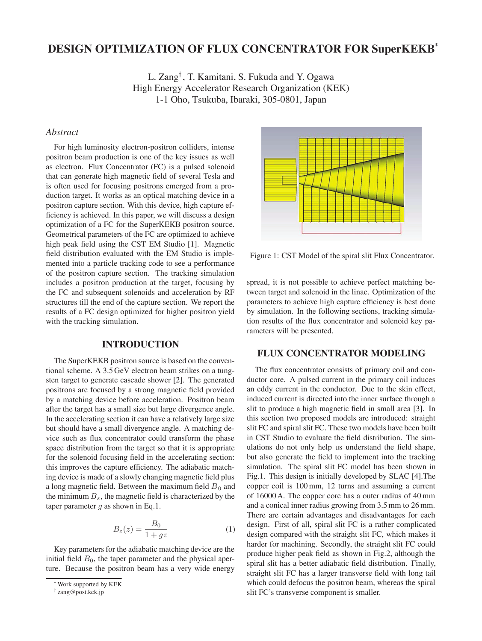# **DESIGN OPTIMIZATION OF FLUX CONCENTRATOR FOR SuperKEKB**<sup>∗</sup>

L. Zang† , T. Kamitani, S. Fukuda and Y. Ogawa High Energy Accelerator Research Organization (KEK) 1-1 Oho, Tsukuba, Ibaraki, 305-0801, Japan

### *Abstract*

For high luminosity electron-positron colliders, intense positron beam production is one of the key issues as well as electron. Flux Concentrator (FC) is a pulsed solenoid that can generate high magnetic field of several Tesla and is often used for focusing positrons emerged from a production target. It works as an optical matching device in a positron capture section. With this device, high capture efficiency is achieved. In this paper, we will discuss a design optimization of a FC for the SuperKEKB positron source. Geometrical parameters of the FC are optimized to achieve high peak field using the CST EM Studio [1]. Magnetic field distribution evaluated with the EM Studio is implemented into a particle tracking code to see a performance of the positron capture section. The tracking simulation includes a positron production at the target, focusing by the FC and subsequent solenoids and acceleration by RF structures till the end of the capture section. We report the results of a FC design optimized for higher positron yield with the tracking simulation.

### **INTRODUCTION**

The SuperKEKB positron source is based on the conventional scheme. A 3.5 GeV electron beam strikes on a tungsten target to generate cascade shower [2]. The generated positrons are focused by a strong magnetic field provided by a matching device before acceleration. Positron beam after the target has a small size but large divergence angle. In the accelerating section it can have a relatively large size but should have a small divergence angle. A matching device such as flux concentrator could transform the phase space distribution from the target so that it is appropriate for the solenoid focusing field in the accelerating section: this improves the capture efficiency. The adiabatic matching device is made of a slowly changing magnetic field plus a long magnetic field. Between the maximum field  $B_0$  and the minimum  $B_s$ , the magnetic field is characterized by the taper parameter  $g$  as shown in Eq.1.

$$
B_z(z) = \frac{B_0}{1 + gz} \tag{1}
$$

Key parameters for the adiabatic matching device are the initial field  $B<sub>0</sub>$ , the taper parameter and the physical aperture. Because the positron beam has a very wide energy



Figure 1: CST Model of the spiral slit Flux Concentrator.

spread, it is not possible to achieve perfect matching between target and solenoid in the linac. Optimization of the parameters to achieve high capture efficiency is best done by simulation. In the following sections, tracking simulation results of the flux concentrator and solenoid key parameters will be presented.

## **FLUX CONCENTRATOR MODELING**

The flux concentrator consists of primary coil and conductor core. A pulsed current in the primary coil induces an eddy current in the conductor. Due to the skin effect, induced current is directed into the inner surface through a slit to produce a high magnetic field in small area [3]. In this section two proposed models are introduced: straight slit FC and spiral slit FC. These two models have been built in CST Studio to evaluate the field distribution. The simulations do not only help us understand the field shape, but also generate the field to implement into the tracking simulation. The spiral slit FC model has been shown in Fig.1. This design is initially developed by SLAC [4].The copper coil is 100 mm, 12 turns and assuming a current of 16000 A. The copper core has a outer radius of 40 mm and a conical inner radius growing from 3.5 mm to 26 mm. There are certain advantages and disadvantages for each design. First of all, spiral slit FC is a rather complicated design compared with the straight slit FC, which makes it harder for machining. Secondly, the straight slit FC could produce higher peak field as shown in Fig.2, although the spiral slit has a better adiabatic field distribution. Finally, straight slit FC has a larger transverse field with long tail which could defocus the positron beam, whereas the spiral slit FC's transverse component is smaller.

<sup>∗</sup>Work supported by KEK

<sup>†</sup> zang@post.kek.jp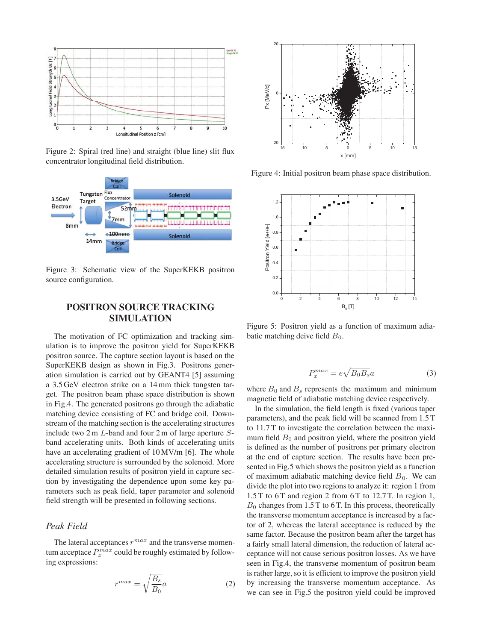

Figure 2: Spiral (red line) and straight (blue line) slit flux concentrator longitudinal field distribution.



Figure 3: Schematic view of the SuperKEKB positron source configuration.

## **POSITRON SOURCE TRACKING SIMULATION**

The motivation of FC optimization and tracking simulation is to improve the positron yield for SuperKEKB positron source. The capture section layout is based on the SuperKEKB design as shown in Fig.3. Positrons generation simulation is carried out by GEANT4 [5] assuming a 3.5 GeV electron strike on a 14 mm thick tungsten target. The positron beam phase space distribution is shown in Fig.4. The generated positrons go through the adiabatic matching device consisting of FC and bridge coil. Downstream of the matching section is the accelerating structures include two 2 m L-band and four 2 m of large aperture Sband accelerating units. Both kinds of accelerating units have an accelerating gradient of  $10 \text{ MV/m}$  [6]. The whole accelerating structure is surrounded by the solenoid. More detailed simulation results of positron yield in capture section by investigating the dependence upon some key parameters such as peak field, taper parameter and solenoid field strength will be presented in following sections.

## *Peak Field*

The lateral acceptances  $r^{max}$  and the transverse momentum acceptace  $P_{x}^{max}$  could be roughly estimated by following expressions:

$$
r^{max} = \sqrt{\frac{B_s}{B_0}}a\tag{2}
$$



Figure 4: Initial positron beam phase space distribution.



Figure 5: Positron yield as a function of maximum adiabatic matching deive field  $B_0$ .

$$
P_x^{max} = e\sqrt{B_0 B_s}a\tag{3}
$$

where  $B_0$  and  $B_s$  represents the maximum and minimum magnetic field of adiabatic matching device respectively.

In the simulation, the field length is fixed (various taper parameters), and the peak field will be scanned from 1.5 T to 11.7 T to investigate the correlation between the maximum field  $B_0$  and positron yield, where the positron yield is defined as the number of positrons per primary electron at the end of capture section. The results have been presented in Fig.5 which shows the positron yield as a function of maximum adiabatic matching device field  $B_0$ . We can divide the plot into two regions to analyze it: region 1 from 1.5 T to 6 T and region 2 from 6 T to 12.7 T. In region 1,  $B_0$  changes from 1.5 T to 6 T. In this process, theoretically the transverse momentum acceptance is increased by a factor of 2, whereas the lateral acceptance is reduced by the same factor. Because the positron beam after the target has a fairly small lateral dimension, the reduction of lateral acceptance will not cause serious positron losses. As we have seen in Fig.4, the transverse momentum of positron beam is rather large, so it is efficient to improve the positron yield by increasing the transverse momentum acceptance. As we can see in Fig.5 the positron yield could be improved